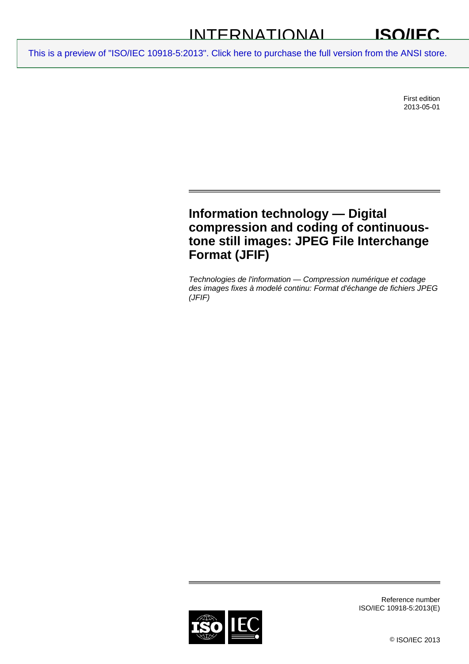#### INTERNATIONAL **ISO/IEC**

[This is a preview of "ISO/IEC 10918-5:2013". Click here to purchase the full version from the ANSI store.](http://webstore.ansi.org/RecordDetail.aspx?sku=ISO%2FIEC%2010918-5:2013&source=preview)

First edition 2013-05-01

# **Information technology — Digital compression and coding of continuoustone still images: JPEG File Interchange Format (JFIF)**

*Technologies de l'information — Compression numérique et codage des images fixes à modelé continu: Format d'échange de fichiers JPEG (JFIF)* 



Reference number ISO/IEC 10918-5:2013(E)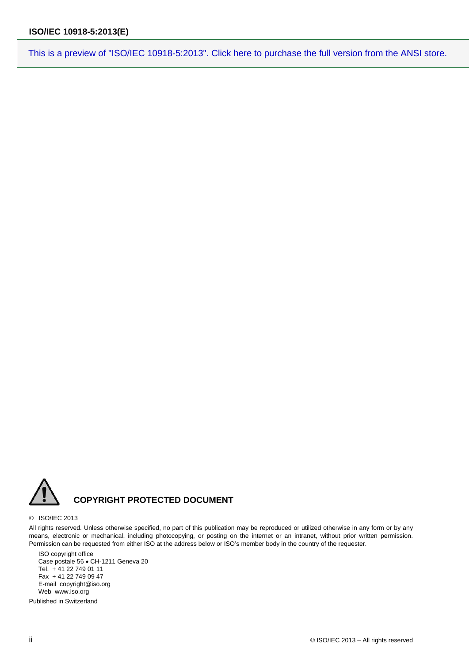[This is a preview of "ISO/IEC 10918-5:2013". Click here to purchase the full version from the ANSI store.](http://webstore.ansi.org/RecordDetail.aspx?sku=ISO%2FIEC%2010918-5:2013&source=preview)



#### © ISO/IEC 2013

All rights reserved. Unless otherwise specified, no part of this publication may be reproduced or utilized otherwise in any form or by any means, electronic or mechanical, including photocopying, or posting on the internet or an intranet, without prior written permission. Permission can be requested from either ISO at the address below or ISO's member body in the country of the requester.

ISO copyright office Case postale 56 · CH-1211 Geneva 20 Tel. + 41 22 749 01 11 Fax + 41 22 749 09 47 E-mail copyright@iso.org Web www.iso.org

Published in Switzerland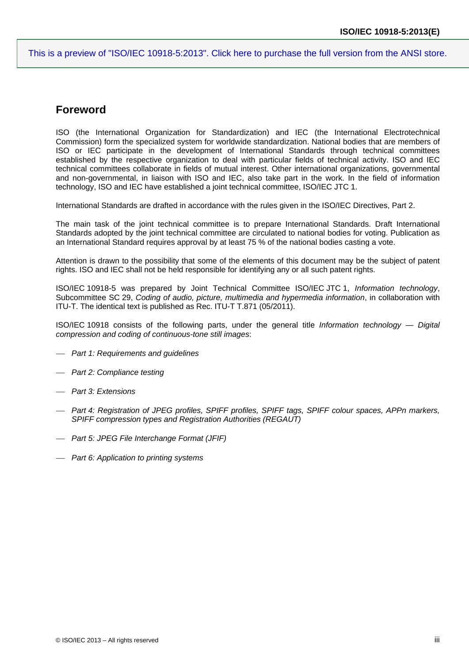[This is a preview of "ISO/IEC 10918-5:2013". Click here to purchase the full version from the ANSI store.](http://webstore.ansi.org/RecordDetail.aspx?sku=ISO%2FIEC%2010918-5:2013&source=preview)

## **Foreword**

ISO (the International Organization for Standardization) and IEC (the International Electrotechnical Commission) form the specialized system for worldwide standardization. National bodies that are members of ISO or IEC participate in the development of International Standards through technical committees established by the respective organization to deal with particular fields of technical activity. ISO and IEC technical committees collaborate in fields of mutual interest. Other international organizations, governmental and non-governmental, in liaison with ISO and IEC, also take part in the work. In the field of information technology, ISO and IEC have established a joint technical committee, ISO/IEC JTC 1.

International Standards are drafted in accordance with the rules given in the ISO/IEC Directives, Part 2.

The main task of the joint technical committee is to prepare International Standards. Draft International Standards adopted by the joint technical committee are circulated to national bodies for voting. Publication as an International Standard requires approval by at least 75 % of the national bodies casting a vote.

Attention is drawn to the possibility that some of the elements of this document may be the subject of patent rights. ISO and IEC shall not be held responsible for identifying any or all such patent rights.

ISO/IEC 10918-5 was prepared by Joint Technical Committee ISO/IEC JTC 1, *Information technology*, Subcommittee SC 29, *Coding of audio, picture, multimedia and hypermedia information*, in collaboration with ITU-T. The identical text is published as Rec. ITU-T T.871 (05/2011).

ISO/IEC 10918 consists of the following parts, under the general title *Information technology — Digital compression and coding of continuous-tone still images*:

- *Part 1: Requirements and guidelines*
- *Part 2: Compliance testing*
- *Part 3: Extensions*
- *Part 4: Registration of JPEG profiles, SPIFF profiles, SPIFF tags, SPIFF colour spaces, APPn markers, SPIFF compression types and Registration Authorities (REGAUT)*
- *Part 5: JPEG File Interchange Format (JFIF)*
- *Part 6: Application to printing systems*